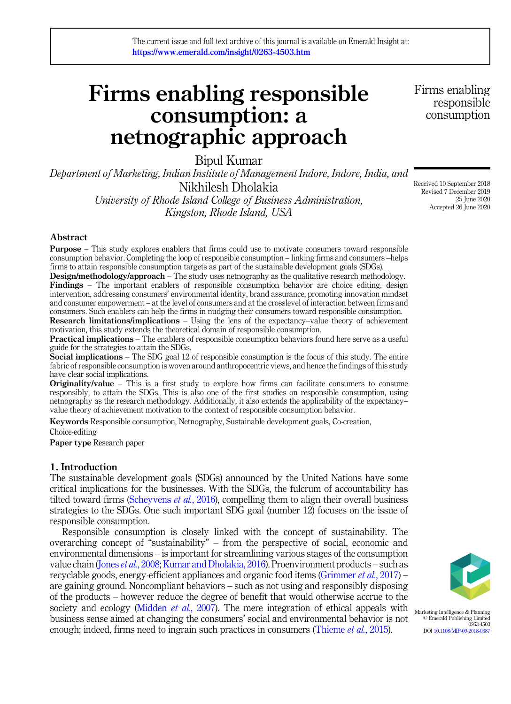# Firms enabling responsible consumption: a netnographic approach

Bipul Kumar

*Department of Marketing, Indian Institute of Management Indore, Indore, India, and* Nikhilesh Dholakia *University of Rhode Island College of Business Administration, Kingston, Rhode Island, USA*

Received 10 September 2018 Revised 7 December 2019 25 June 2020

Accepted 26 June 2020

Firms enabling responsible consumption

Abstract

Purpose – This study explores enablers that firms could use to motivate consumers toward responsible consumption behavior. Completing the loop of responsible consumption – linking firms and consumers –helps firms to attain responsible consumption targets as part of the sustainable development goals (SDGs).

Design/methodology/approach – The study uses netnography as the qualitative research methodology. Findings – The important enablers of responsible consumption behavior are choice editing, design intervention, addressing consumers' environmental identity, brand assurance, promoting innovation mindset and consumer empowerment – at the level of consumers and at the crosslevel of interaction between firms and consumers. Such enablers can help the firms in nudging their consumers toward responsible consumption.

Research limitations/implications – Using the lens of the expectancy–value theory of achievement motivation, this study extends the theoretical domain of responsible consumption.

Practical implications – The enablers of responsible consumption behaviors found here serve as a useful guide for the strategies to attain the SDGs.

Social implications – The SDG goal 12 of responsible consumption is the focus of this study. The entire fabric of responsible consumption is woven around anthropocentric views, and hence the findings of this study have clear social implications.

Originality/value – This is a first study to explore how firms can facilitate consumers to consume responsibly, to attain the SDGs. This is also one of the first studies on responsible consumption, using netnography as the research methodology. Additionally, it also extends the applicability of the expectancy– value theory of achievement motivation to the context of responsible consumption behavior.

Keywords Responsible consumption, Netnography, Sustainable development goals, Co-creation, Choice-editing

Paper type Research paper

# 1. Introduction

The sustainable development goals (SDGs) announced by the United Nations have some critical implications for the businesses. With the SDGs, the fulcrum of accountability has tilted toward firms (Scheyvens *et al.*, 2016), compelling them to align their overall business strategies to the SDGs. One such important SDG goal (number 12) focuses on the issue of responsible consumption.

Responsible consumption is closely linked with the concept of sustainability. The overarching concept of "sustainability" – from the perspective of social, economic and environmental dimensions – is important for streamlining various stages of the consumption value chain (Jones *et al.*, 2008; Kumar and Dholakia, 2016). Proenvironment products – such as recyclable goods, energy-efficient appliances and organic food items (Grimmer *et al.*, 2017) – are gaining ground. Noncompliant behaviors – such as not using and responsibly disposing of the products – however reduce the degree of benefit that would otherwise accrue to the society and ecology (Midden *et al.*, 2007). The mere integration of ethical appeals with business sense aimed at changing the consumers' social and environmental behavior is not enough; indeed, firms need to ingrain such practices in consumers (Thieme *et al.*, 2015).



Marketing Intelligence & Planning © Emerald Publishing Limited 0263-4503 DOI 10.1108/MIP-09-2018-0387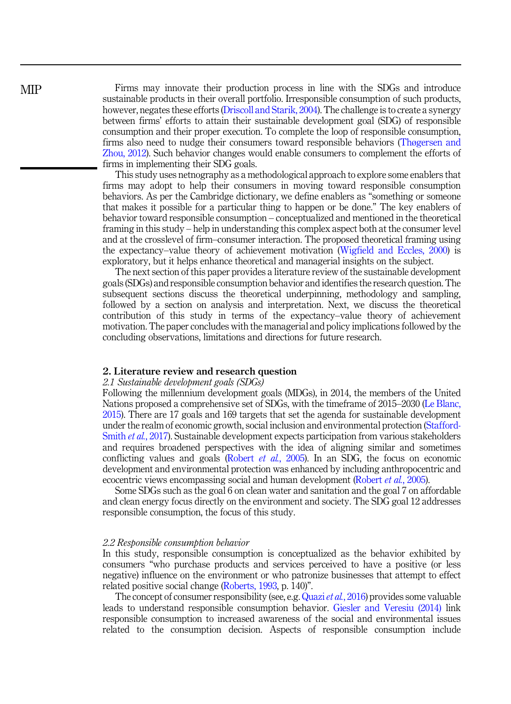Firms may innovate their production process in line with the SDGs and introduce sustainable products in their overall portfolio. Irresponsible consumption of such products, however, negates these efforts (Driscoll and Starik, 2004). The challenge is to create a synergy between firms' efforts to attain their sustainable development goal (SDG) of responsible consumption and their proper execution. To complete the loop of responsible consumption, firms also need to nudge their consumers toward responsible behaviors (Thøgersen and Zhou, 2012). Such behavior changes would enable consumers to complement the efforts of firms in implementing their SDG goals.

This study uses netnography as a methodological approach to explore some enablers that firms may adopt to help their consumers in moving toward responsible consumption behaviors. As per the Cambridge dictionary, we define enablers as "something or someone that makes it possible for a particular thing to happen or be done." The key enablers of behavior toward responsible consumption – conceptualized and mentioned in the theoretical framing in this study – help in understanding this complex aspect both at the consumer level and at the crosslevel of firm–consumer interaction. The proposed theoretical framing using the expectancy–value theory of achievement motivation (Wigfield and Eccles, 2000) is exploratory, but it helps enhance theoretical and managerial insights on the subject.

The next section of this paper provides a literature review of the sustainable development goals (SDGs) and responsible consumption behavior and identifies the research question. The subsequent sections discuss the theoretical underpinning, methodology and sampling, followed by a section on analysis and interpretation. Next, we discuss the theoretical contribution of this study in terms of the expectancy–value theory of achievement motivation. The paper concludes with the managerial and policy implications followed by the concluding observations, limitations and directions for future research.

#### 2. Literature review and research question

#### *2.1 Sustainable development goals (SDGs)*

Following the millennium development goals (MDGs), in 2014, the members of the United Nations proposed a comprehensive set of SDGs, with the timeframe of 2015–2030 (Le Blanc, 2015). There are 17 goals and 169 targets that set the agenda for sustainable development under the realm of economic growth, social inclusion and environmental protection (Stafford-Smith *et al.*, 2017). Sustainable development expects participation from various stakeholders and requires broadened perspectives with the idea of aligning similar and sometimes conflicting values and goals (Robert *et al.*, 2005). In an SDG, the focus on economic development and environmental protection was enhanced by including anthropocentric and ecocentric views encompassing social and human development (Robert *et al.*, 2005).

Some SDGs such as the goal 6 on clean water and sanitation and the goal 7 on affordable and clean energy focus directly on the environment and society. The SDG goal 12 addresses responsible consumption, the focus of this study.

#### *2.2 Responsible consumption behavior*

In this study, responsible consumption is conceptualized as the behavior exhibited by consumers "who purchase products and services perceived to have a positive (or less negative) influence on the environment or who patronize businesses that attempt to effect related positive social change (Roberts, 1993, p. 140)".

The concept of consumer responsibility (see, e.g. Quazi*et al.*, 2016) provides some valuable leads to understand responsible consumption behavior. Giesler and Veresiu (2014) link responsible consumption to increased awareness of the social and environmental issues related to the consumption decision. Aspects of responsible consumption include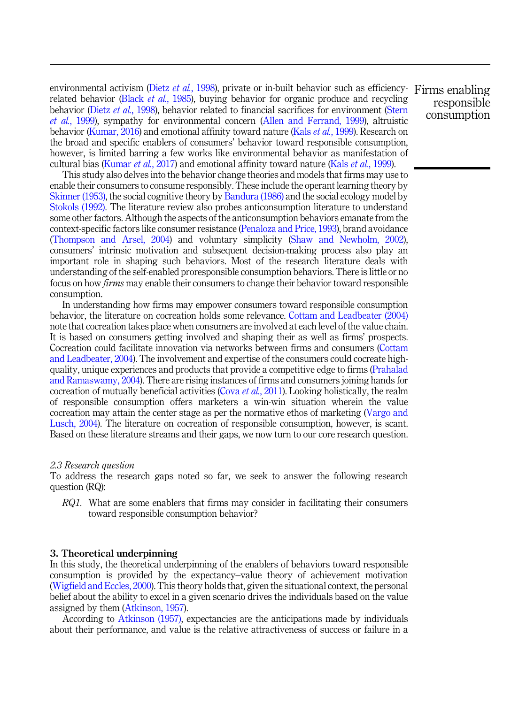environmental activism (Dietz *et al.*, 1998), private or in-built behavior such as efficiency-Firms enabling related behavior (Black *et al.*, 1985), buying behavior for organic produce and recycling behavior (Dietz *et al.*, 1998), behavior related to financial sacrifices for environment (Stern *et al.*, 1999), sympathy for environmental concern (Allen and Ferrand, 1999), altruistic behavior (Kumar, 2016) and emotional affinity toward nature (Kals *et al.*, 1999). Research on the broad and specific enablers of consumers' behavior toward responsible consumption, however, is limited barring a few works like environmental behavior as manifestation of cultural bias (Kumar *et al.*, 2017) and emotional affinity toward nature (Kals *et al.*, 1999).

This study also delves into the behavior change theories and models that firms may use to enable their consumers to consume responsibly. These include the operant learning theory by Skinner (1953), the social cognitive theory by Bandura (1986) and the social ecology model by Stokols (1992). The literature review also probes anticonsumption literature to understand some other factors. Although the aspects of the anticonsumption behaviors emanate from the context-specific factors like consumer resistance (Penaloza and Price, 1993), brand avoidance (Thompson and Arsel, 2004) and voluntary simplicity (Shaw and Newholm, 2002), consumers' intrinsic motivation and subsequent decision-making process also play an important role in shaping such behaviors. Most of the research literature deals with understanding of the self-enabled proresponsible consumption behaviors. There is little or no focus on how *firms* may enable their consumers to change their behavior toward responsible consumption.

In understanding how firms may empower consumers toward responsible consumption behavior, the literature on cocreation holds some relevance. Cottam and Leadbeater (2004) note that cocreation takes place when consumers are involved at each level of the value chain. It is based on consumers getting involved and shaping their as well as firms' prospects. Cocreation could facilitate innovation via networks between firms and consumers (Cottam and Leadbeater, 2004). The involvement and expertise of the consumers could cocreate highquality, unique experiences and products that provide a competitive edge to firms (Prahalad and Ramaswamy, 2004). There are rising instances of firms and consumers joining hands for cocreation of mutually beneficial activities (Cova *et al.*, 2011). Looking holistically, the realm of responsible consumption offers marketers a win-win situation wherein the value cocreation may attain the center stage as per the normative ethos of marketing (Vargo and Lusch, 2004). The literature on cocreation of responsible consumption, however, is scant. Based on these literature streams and their gaps, we now turn to our core research question.

# *2.3 Research question*

To address the research gaps noted so far, we seek to answer the following research question (RQ):

*RQ1.* What are some enablers that firms may consider in facilitating their consumers toward responsible consumption behavior?

#### 3. Theoretical underpinning

In this study, the theoretical underpinning of the enablers of behaviors toward responsible consumption is provided by the expectancy–value theory of achievement motivation (Wigfield and Eccles, 2000). This theory holds that, given the situational context, the personal belief about the ability to excel in a given scenario drives the individuals based on the value assigned by them (Atkinson, 1957).

According to Atkinson (1957), expectancies are the anticipations made by individuals about their performance, and value is the relative attractiveness of success or failure in a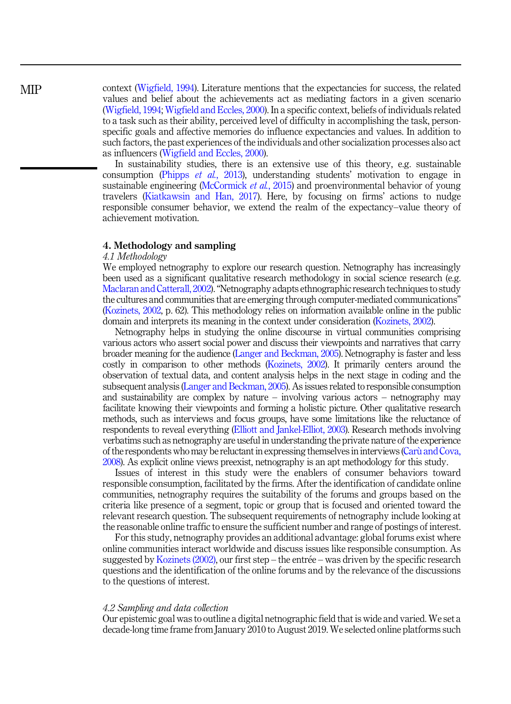MIP

context (Wigfield, 1994). Literature mentions that the expectancies for success, the related values and belief about the achievements act as mediating factors in a given scenario (Wigfield, 1994; Wigfield and Eccles, 2000). In a specific context, beliefs of individuals related to a task such as their ability, perceived level of difficulty in accomplishing the task, personspecific goals and affective memories do influence expectancies and values. In addition to such factors, the past experiences of the individuals and other socialization processes also act as influencers (Wigfield and Eccles, 2000).

In sustainability studies, there is an extensive use of this theory, e.g. sustainable consumption (Phipps *et al.*, 2013), understanding students' motivation to engage in sustainable engineering (McCormick *et al.*, 2015) and proenvironmental behavior of young travelers (Kiatkawsin and Han, 2017). Here, by focusing on firms' actions to nudge responsible consumer behavior, we extend the realm of the expectancy–value theory of achievement motivation.

# 4. Methodology and sampling

#### *4.1 Methodology*

We employed netnography to explore our research question. Netnography has increasingly been used as a significant qualitative research methodology in social science research (e.g. Maclaran and Catterall, 2002)."Netnography adapts ethnographic research techniques to study the cultures and communities that are emerging through computer-mediated communications" (Kozinets, 2002, p. 62). This methodology relies on information available online in the public domain and interprets its meaning in the context under consideration (Kozinets, 2002).

Netnography helps in studying the online discourse in virtual communities comprising various actors who assert social power and discuss their viewpoints and narratives that carry broader meaning for the audience (Langer and Beckman, 2005). Netnography is faster and less costly in comparison to other methods (Kozinets, 2002). It primarily centers around the observation of textual data, and content analysis helps in the next stage in coding and the subsequent analysis (Langer and Beckman, 2005). As issues related to responsible consumption and sustainability are complex by nature – involving various actors – netnography may facilitate knowing their viewpoints and forming a holistic picture. Other qualitative research methods, such as interviews and focus groups, have some limitations like the reluctance of respondents to reveal everything (Elliott and Jankel-Elliot, 2003). Research methods involving verbatims such as netnography are useful in understanding the private nature of the experience of the respondents who may be reluctant in expressing themselves in interviews (Caru and Cova, 2008). As explicit online views preexist, netnography is an apt methodology for this study.

Issues of interest in this study were the enablers of consumer behaviors toward responsible consumption, facilitated by the firms. After the identification of candidate online communities, netnography requires the suitability of the forums and groups based on the criteria like presence of a segment, topic or group that is focused and oriented toward the relevant research question. The subsequent requirements of netnography include looking at the reasonable online traffic to ensure the sufficient number and range of postings of interest.

For this study, netnography provides an additional advantage: global forums exist where online communities interact worldwide and discuss issues like responsible consumption. As suggested by Kozinets (2002), our first step – the entree – was driven by the specific research questions and the identification of the online forums and by the relevance of the discussions to the questions of interest.

#### *4.2 Sampling and data collection*

Our epistemic goal was to outline a digital netnographic field that is wide and varied. We set a decade-long time frame from January 2010 to August 2019. We selected online platforms such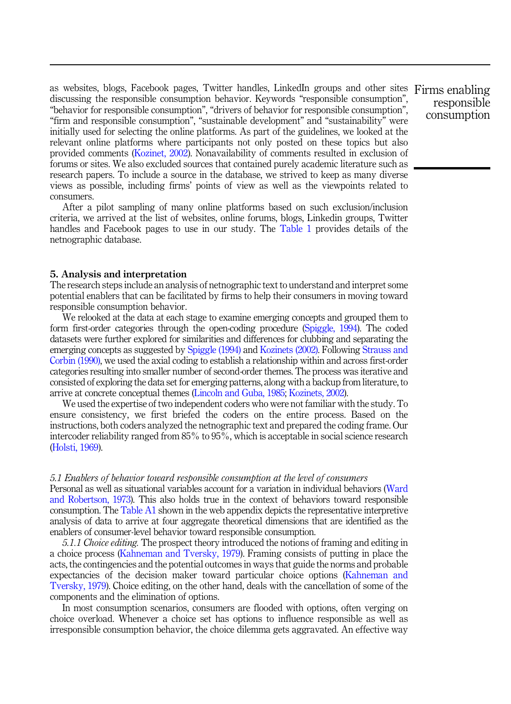as websites, blogs, Facebook pages, Twitter handles, LinkedIn groups and other sites Firms enabling discussing the responsible consumption behavior. Keywords "responsible consumption", "behavior for responsible consumption", "drivers of behavior for responsible consumption", "firm and responsible consumption", "sustainable development" and "sustainability" were initially used for selecting the online platforms. As part of the guidelines, we looked at the relevant online platforms where participants not only posted on these topics but also provided comments (Kozinet, 2002). Nonavailability of comments resulted in exclusion of forums or sites. We also excluded sources that contained purely academic literature such as research papers. To include a source in the database, we strived to keep as many diverse views as possible, including firms' points of view as well as the viewpoints related to consumers.

After a pilot sampling of many online platforms based on such exclusion/inclusion criteria, we arrived at the list of websites, online forums, blogs, Linkedin groups, Twitter handles and Facebook pages to use in our study. The Table 1 provides details of the netnographic database.

# 5. Analysis and interpretation

The research steps include an analysis of netnographic text to understand and interpret some potential enablers that can be facilitated by firms to help their consumers in moving toward responsible consumption behavior.

We relooked at the data at each stage to examine emerging concepts and grouped them to form first-order categories through the open-coding procedure (Spiggle, 1994). The coded datasets were further explored for similarities and differences for clubbing and separating the emerging concepts as suggested by Spiggle (1994) and Kozinets (2002). Following Strauss and Corbin (1990), we used the axial coding to establish a relationship within and across first-order categories resulting into smaller number of second-order themes. The process was iterative and consisted of exploring the data set for emerging patterns, along with a backup from literature, to arrive at concrete conceptual themes (Lincoln and Guba, 1985; Kozinets, 2002).

We used the expertise of two independent coders who were not familiar with the study. To ensure consistency, we first briefed the coders on the entire process. Based on the instructions, both coders analyzed the netnographic text and prepared the coding frame. Our intercoder reliability ranged from 85% to 95%, which is acceptable in social science research (Holsti, 1969).

#### *5.1 Enablers of behavior toward responsible consumption at the level of consumers*

Personal as well as situational variables account for a variation in individual behaviors (Ward and Robertson, 1973). This also holds true in the context of behaviors toward responsible consumption. The Table A1 shown in the web appendix depicts the representative interpretive analysis of data to arrive at four aggregate theoretical dimensions that are identified as the enablers of consumer-level behavior toward responsible consumption.

*5.1.1 Choice editing.* The prospect theory introduced the notions of framing and editing in a choice process (Kahneman and Tversky, 1979). Framing consists of putting in place the acts, the contingencies and the potential outcomes in ways that guide the norms and probable expectancies of the decision maker toward particular choice options (Kahneman and Tversky, 1979). Choice editing, on the other hand, deals with the cancellation of some of the components and the elimination of options.

In most consumption scenarios, consumers are flooded with options, often verging on choice overload. Whenever a choice set has options to influence responsible as well as irresponsible consumption behavior, the choice dilemma gets aggravated. An effective way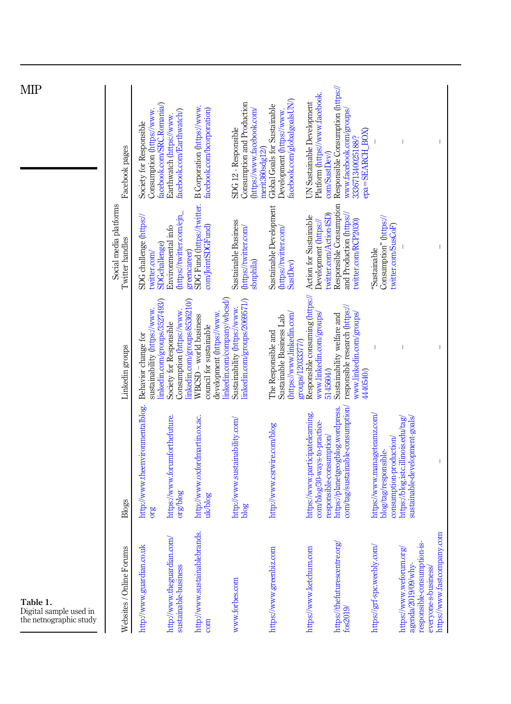| Table 1.<br>Digital sample used in<br>the netnographic study                                                                          |                                                                                               |                                                                                                                |                                                                             | МIР                                                                                                  |
|---------------------------------------------------------------------------------------------------------------------------------------|-----------------------------------------------------------------------------------------------|----------------------------------------------------------------------------------------------------------------|-----------------------------------------------------------------------------|------------------------------------------------------------------------------------------------------|
| Websites / Online Forums                                                                                                              | Blogs                                                                                         | Linkedin groups                                                                                                | Social media platforms<br>Twitter handles                                   | Facebook pages                                                                                       |
| http://www.guardian.co.uk                                                                                                             | http://www.theenvironmentalblog.<br>org                                                       | linkedin.com/groups/3527493/)<br>sustainability (https://www.<br>Behavior change for                           | SDG challenge (https://<br><b>SDGchallenge</b> )<br>twitter.com/            | facebook.com/SRC.Romania/)<br>Consumption (https://www.<br>Society for Responsible                   |
| http://www.theguardian.com/<br>sustainable-business                                                                                   | https://www.forumforthefuture.<br>anglog                                                      | linkedin.com/groups/8536210/)<br>Consumption (https://www.<br>Society for Responsible                          | (https://twitter.com/ejn_<br>Environmental info<br>greencareer)             | facebook.com/Earthwatch/)<br>Earthwatch (https://www.                                                |
| http://www.sustainablebrands.<br>com                                                                                                  | http://www.oxfordmartin.ox.ac.<br>uk/blog                                                     | linkedin.com/company/wbcsd/)<br>development (https://www.<br>WBCSD - world business<br>council for sustainable | SDG Fund (https://twitter.<br>com/JointSDGFund)                             | B Corporation (https://www.<br>facebook.com/bcorporation)                                            |
| www.forbes.com                                                                                                                        | http://www.sustainability.com/<br>blog                                                        | linkedin.com/groups/2069571/)<br>Sustainability (https://www.                                                  | Sustainable Business<br>(https://twitter.com/<br>sbnphila)                  | Consumption and Production<br>(https://www.facebook.com/<br>SDG 12 - Responsible<br>merit360sdg12/)  |
| https://www.greenbiz.com                                                                                                              | http://www.csrwire.com/blog                                                                   | (https://www.linkedin.com/<br>Sustainable Business Lab<br>The Responsible and<br>groups/12033377/)             | Sustainable Development<br>(https://twitter.com/<br>SustDev)                | facebook.com/globalgoalsUN/)<br>Global Goals for Sustainable<br>Development (https://www.            |
| https://www.ketchum.com                                                                                                               | https://www.participatelearning.<br>com/blog/30-ways-to-practice-<br>responsible-consumption/ | Responsible consuming (https://<br>www.linkedin.com/groups/<br>5145604/                                        | twitter.com/Action4SD)<br>Action for Sustainable<br>Development (https://   | Platform (https://www.facebook.<br>UN Sustainable Development<br>com/SustDev/                        |
| https://thefuturescentre.org/<br>fos2019                                                                                              | com/tag/sustainable-consumption/<br>https://planetgeogblog.wordpress.                         | responsible research (https://<br>www.linkedin.com/groups/<br>Sustainability welfare and<br>4405400            | Responsible Consumption<br>and Production (https://<br>twitter.com/RCP2030) | Responsible Consumption (https://<br>www.facebook.com/groups/<br>epa=SEARCH_BOX)<br>3336713400251887 |
| https://grf-spc.weebly.com/                                                                                                           | https://www.manageteamz.com/<br>consumption-production/<br>blog/tag/responsible-              |                                                                                                                | Consumption" (https://<br>twitter.com/SusCoF)<br>"Sustainable               |                                                                                                      |
| https://www.fastcompany.com<br>responsible-consumption-is-<br>https://www.weforum.org/<br>agenda/2019/09/why-<br>everyone-s-business/ | sustainable-development-goals/<br>https://blog.istc.illinois.edu/tag/                         |                                                                                                                |                                                                             |                                                                                                      |
|                                                                                                                                       |                                                                                               |                                                                                                                |                                                                             |                                                                                                      |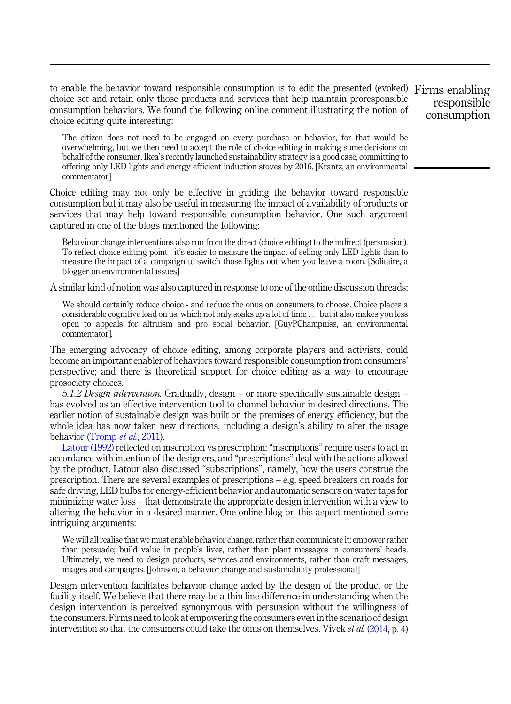to enable the behavior toward responsible consumption is to edit the presented (evoked) Firms enabling choice set and retain only those products and services that help maintain proresponsible consumption behaviors. We found the following online comment illustrating the notion of choice editing quite interesting:

responsible consumption

The citizen does not need to be engaged on every purchase or behavior, for that would be overwhelming, but we then need to accept the role of choice editing in making some decisions on behalf of the consumer. Ikea's recently launched sustainability strategy is a good case, committing to offering only LED lights and energy efficient induction stoves by 2016. [Krantz, an environmental commentator]

Choice editing may not only be effective in guiding the behavior toward responsible consumption but it may also be useful in measuring the impact of availability of products or services that may help toward responsible consumption behavior. One such argument captured in one of the blogs mentioned the following:

Behaviour change interventions also run from the direct (choice editing) to the indirect (persuasion). To reflect choice editing point - it's easier to measure the impact of selling only LED lights than to measure the impact of a campaign to switch those lights out when you leave a room. [Solitaire, a blogger on environmental issues]

A similar kind of notion was also captured in response to one of the online discussion threads:

We should certainly reduce choice - and reduce the onus on consumers to choose. Choice places a considerable cognitive load on us, which not only soaks up a lot of time ... but it also makes you less open to appeals for altruism and pro social behavior. [GuyPChampniss, an environmental commentator].

The emerging advocacy of choice editing, among corporate players and activists, could become an important enabler of behaviors toward responsible consumption from consumers' perspective; and there is theoretical support for choice editing as a way to encourage prosociety choices.

*5.1.2 Design intervention.* Gradually, design – or more specifically sustainable design – has evolved as an effective intervention tool to channel behavior in desired directions. The earlier notion of sustainable design was built on the premises of energy efficiency, but the whole idea has now taken new directions, including a design's ability to alter the usage behavior (Tromp *et al.*, 2011).

Latour (1992) reflected on inscription vs prescription: "inscriptions" require users to act in accordance with intention of the designers, and "prescriptions" deal with the actions allowed by the product. Latour also discussed "subscriptions", namely, how the users construe the prescription. There are several examples of prescriptions – e.g. speed breakers on roads for safe driving, LED bulbs for energy-efficient behavior and automatic sensors on water taps for minimizing water loss – that demonstrate the appropriate design intervention with a view to altering the behavior in a desired manner. One online blog on this aspect mentioned some intriguing arguments:

We will all realise that we must enable behavior change, rather than communicate it; empower rather than persuade; build value in people's lives, rather than plant messages in consumers' heads. Ultimately, we need to design products, services and environments, rather than craft messages, images and campaigns. [Johnson, a behavior change and sustainability professional]

Design intervention facilitates behavior change aided by the design of the product or the facility itself. We believe that there may be a thin-line difference in understanding when the design intervention is perceived synonymous with persuasion without the willingness of the consumers. Firms need to look at empowering the consumers even in the scenario of design intervention so that the consumers could take the onus on themselves. Vivek *et al.* (2014, p. 4)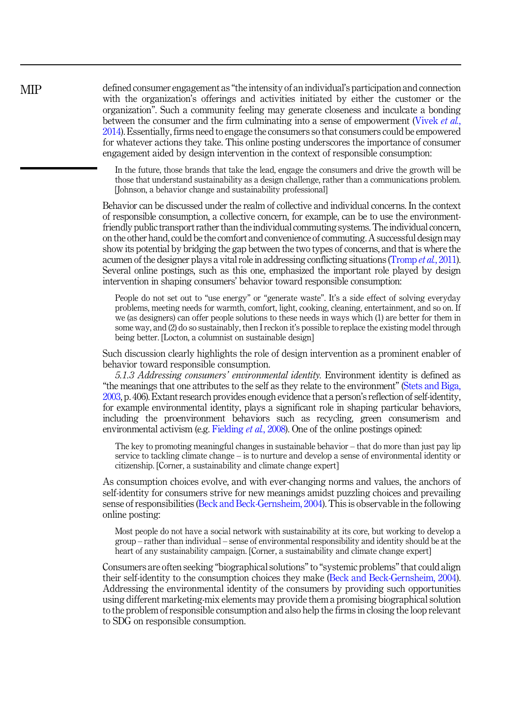defined consumer engagement as "the intensity of an individual's participation and connection with the organization's offerings and activities initiated by either the customer or the organization". Such a community feeling may generate closeness and inculcate a bonding between the consumer and the firm culminating into a sense of empowerment (Vivek *et al.*, 2014). Essentially, firms need to engage the consumers so that consumers could be empowered for whatever actions they take. This online posting underscores the importance of consumer engagement aided by design intervention in the context of responsible consumption:

In the future, those brands that take the lead, engage the consumers and drive the growth will be those that understand sustainability as a design challenge, rather than a communications problem. [Johnson, a behavior change and sustainability professional]

Behavior can be discussed under the realm of collective and individual concerns. In the context of responsible consumption, a collective concern, for example, can be to use the environmentfriendly public transport rather than the individual commuting systems.The individual concern, on the other hand, could be the comfort and convenience of commuting. A successful design may show its potential by bridging the gap between the two types of concerns, and that is where the acumen of the designer plays a vital role in addressing conflicting situations (Tromp *et al.*, 2011). Several online postings, such as this one, emphasized the important role played by design intervention in shaping consumers' behavior toward responsible consumption:

People do not set out to "use energy" or "generate waste". It's a side effect of solving everyday problems, meeting needs for warmth, comfort, light, cooking, cleaning, entertainment, and so on. If we (as designers) can offer people solutions to these needs in ways which (1) are better for them in some way, and (2) do so sustainably, then I reckon it's possible to replace the existing model through being better. [Locton, a columnist on sustainable design]

Such discussion clearly highlights the role of design intervention as a prominent enabler of behavior toward responsible consumption.

*5.1.3 Addressing consumers*' *environmental identity.* Environment identity is defined as "the meanings that one attributes to the self as they relate to the environment" (Stets and Biga, 2003, p. 406). Extant research provides enough evidence that a person's reflection of self-identity, for example environmental identity, plays a significant role in shaping particular behaviors, including the proenvironment behaviors such as recycling, green consumerism and environmental activism (e.g. Fielding *et al.*, 2008). One of the online postings opined:

The key to promoting meaningful changes in sustainable behavior – that do more than just pay lip service to tackling climate change – is to nurture and develop a sense of environmental identity or citizenship. [Corner, a sustainability and climate change expert]

As consumption choices evolve, and with ever-changing norms and values, the anchors of self-identity for consumers strive for new meanings amidst puzzling choices and prevailing sense of responsibilities (Beck and Beck-Gernsheim, 2004). This is observable in the following online posting:

Most people do not have a social network with sustainability at its core, but working to develop a group – rather than individual – sense of environmental responsibility and identity should be at the heart of any sustainability campaign. [Corner, a sustainability and climate change expert]

Consumers are often seeking "biographical solutions"to "systemic problems"that could align their self-identity to the consumption choices they make (Beck and Beck-Gernsheim, 2004). Addressing the environmental identity of the consumers by providing such opportunities using different marketing-mix elements may provide them a promising biographical solution to the problem of responsible consumption and also help the firms in closing the loop relevant to SDG on responsible consumption.

**MIP**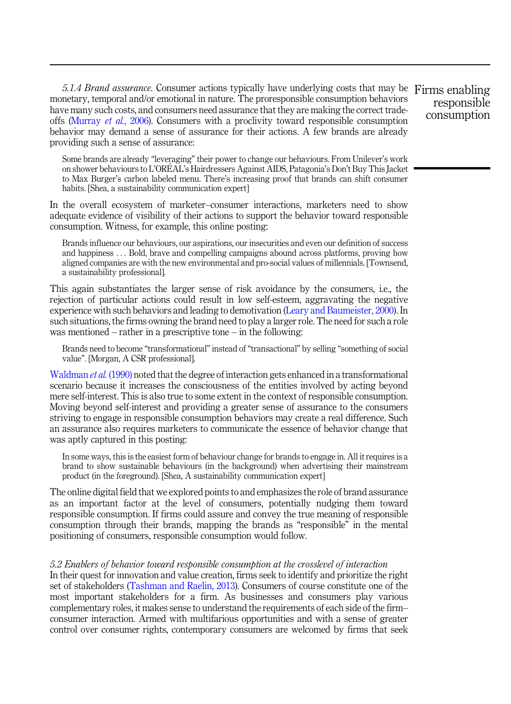*5.1.4 Brand assurance.* Consumer actions typically have underlying costs that may be Firms enabling monetary, temporal and/or emotional in nature. The proresponsible consumption behaviors have many such costs, and consumers need assurance that they are making the correct tradeoffs (Murray *et al.*, 2006). Consumers with a proclivity toward responsible consumption behavior may demand a sense of assurance for their actions. A few brands are already providing such a sense of assurance:

Some brands are already "leveraging" their power to change our behaviours. From Unilever's work on shower behaviours to L'OREAL 's Hairdressers Against AIDS, Patagonia's Don't Buy This Jacket to Max Burger's carbon labeled menu. There's increasing proof that brands can shift consumer habits. [Shea, a sustainability communication expert]

In the overall ecosystem of marketer–consumer interactions, marketers need to show adequate evidence of visibility of their actions to support the behavior toward responsible consumption. Witness, for example, this online posting:

Brands influence our behaviours, our aspirations, our insecurities and even our definition of success and happiness ... Bold, brave and compelling campaigns abound across platforms, proving how aligned companies are with the new environmental and pro-social values of millennials. [Townsend, a sustainability professional].

This again substantiates the larger sense of risk avoidance by the consumers, i.e., the rejection of particular actions could result in low self-esteem, aggravating the negative experience with such behaviors and leading to demotivation (Leary and Baumeister, 2000). In such situations, the firms owning the brand need to play a larger role. The need for such a role was mentioned – rather in a prescriptive tone – in the following:

Brands need to become "transformational" instead of "transactional" by selling "something of social value". [Morgan, A CSR professional].

Waldman *et al.* (1990) noted that the degree of interaction gets enhanced in a transformational scenario because it increases the consciousness of the entities involved by acting beyond mere self-interest. This is also true to some extent in the context of responsible consumption. Moving beyond self-interest and providing a greater sense of assurance to the consumers striving to engage in responsible consumption behaviors may create a real difference. Such an assurance also requires marketers to communicate the essence of behavior change that was aptly captured in this posting:

In some ways, this is the easiest form of behaviour change for brands to engage in. All it requires is a brand to show sustainable behaviours (in the background) when advertising their mainstream product (in the foreground). [Shea, A sustainability communication expert]

The online digital field that we explored points to and emphasizes the role of brand assurance as an important factor at the level of consumers, potentially nudging them toward responsible consumption. If firms could assure and convey the true meaning of responsible consumption through their brands, mapping the brands as "responsible" in the mental positioning of consumers, responsible consumption would follow.

# *5.2 Enablers of behavior toward responsible consumption at the crosslevel of interaction*

In their quest for innovation and value creation, firms seek to identify and prioritize the right set of stakeholders (Tashman and Raelin, 2013). Consumers of course constitute one of the most important stakeholders for a firm. As businesses and consumers play various complementary roles, it makes sense to understand the requirements of each side of the firm– consumer interaction. Armed with multifarious opportunities and with a sense of greater control over consumer rights, contemporary consumers are welcomed by firms that seek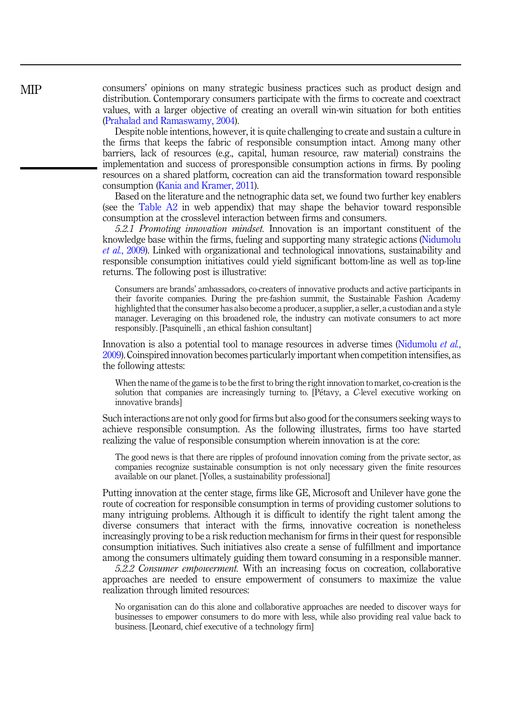consumers' opinions on many strategic business practices such as product design and distribution. Contemporary consumers participate with the firms to cocreate and coextract values, with a larger objective of creating an overall win-win situation for both entities (Prahalad and Ramaswamy, 2004).

Despite noble intentions, however, it is quite challenging to create and sustain a culture in the firms that keeps the fabric of responsible consumption intact. Among many other barriers, lack of resources (e.g., capital, human resource, raw material) constrains the implementation and success of proresponsible consumption actions in firms. By pooling resources on a shared platform, cocreation can aid the transformation toward responsible consumption (Kania and Kramer, 2011).

Based on the literature and the netnographic data set, we found two further key enablers (see the Table A2 in web appendix) that may shape the behavior toward responsible consumption at the crosslevel interaction between firms and consumers.

*5.2.1 Promoting innovation mindset.* Innovation is an important constituent of the knowledge base within the firms, fueling and supporting many strategic actions (Nidumolu *et al.*, 2009). Linked with organizational and technological innovations, sustainability and responsible consumption initiatives could yield significant bottom-line as well as top-line returns. The following post is illustrative:

Consumers are brands' ambassadors, co-creaters of innovative products and active participants in their favorite companies. During the pre-fashion summit, the Sustainable Fashion Academy highlighted that the consumer has also become a producer, a supplier, a seller, a custodian and a style manager. Leveraging on this broadened role, the industry can motivate consumers to act more responsibly. [Pasquinelli , an ethical fashion consultant]

Innovation is also a potential tool to manage resources in adverse times (Nidumolu *et al.*, 2009). Coinspired innovation becomes particularly important when competition intensifies, as the following attests:

When the name of the game is to be the first to bring the right innovation to market, co-creation is the solution that companies are increasingly turning to. [Petavy, a *C*-level executive working on innovative brands]

Such interactions are not only good for firms but also good for the consumers seeking ways to achieve responsible consumption. As the following illustrates, firms too have started realizing the value of responsible consumption wherein innovation is at the core:

The good news is that there are ripples of profound innovation coming from the private sector, as companies recognize sustainable consumption is not only necessary given the finite resources available on our planet. [Yolles, a sustainability professional]

Putting innovation at the center stage, firms like GE, Microsoft and Unilever have gone the route of cocreation for responsible consumption in terms of providing customer solutions to many intriguing problems. Although it is difficult to identify the right talent among the diverse consumers that interact with the firms, innovative cocreation is nonetheless increasingly proving to be a risk reduction mechanism for firms in their quest for responsible consumption initiatives. Such initiatives also create a sense of fulfillment and importance among the consumers ultimately guiding them toward consuming in a responsible manner.

*5.2.2 Consumer empowerment.* With an increasing focus on cocreation, collaborative approaches are needed to ensure empowerment of consumers to maximize the value realization through limited resources:

No organisation can do this alone and collaborative approaches are needed to discover ways for businesses to empower consumers to do more with less, while also providing real value back to business. [Leonard, chief executive of a technology firm]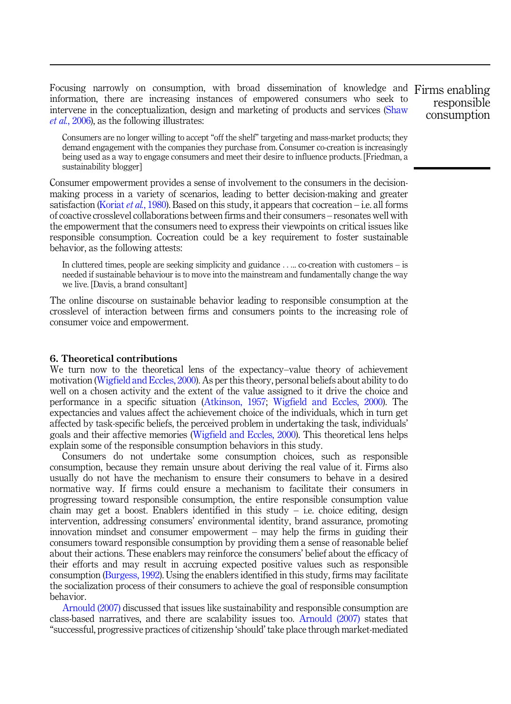Focusing narrowly on consumption, with broad dissemination of knowledge and Firms enabling information, there are increasing instances of empowered consumers who seek to intervene in the conceptualization, design and marketing of products and services (Shaw *et al.*, 2006), as the following illustrates:

Consumers are no longer willing to accept "off the shelf" targeting and mass-market products; they demand engagement with the companies they purchase from. Consumer co-creation is increasingly being used as a way to engage consumers and meet their desire to influence products. [Friedman, a sustainability blogger]

Consumer empowerment provides a sense of involvement to the consumers in the decisionmaking process in a variety of scenarios, leading to better decision-making and greater satisfaction (Koriat *et al.*, 1980). Based on this study, it appears that cocreation – i.e. all forms of coactive crosslevel collaborations between firms and their consumers – resonates well with the empowerment that the consumers need to express their viewpoints on critical issues like responsible consumption. Cocreation could be a key requirement to foster sustainable behavior, as the following attests:

In cluttered times, people are seeking simplicity and guidance ..... co-creation with customers – is needed if sustainable behaviour is to move into the mainstream and fundamentally change the way we live. [Davis, a brand consultant]

The online discourse on sustainable behavior leading to responsible consumption at the crosslevel of interaction between firms and consumers points to the increasing role of consumer voice and empowerment.

# 6. Theoretical contributions

We turn now to the theoretical lens of the expectancy–value theory of achievement motivation (Wigfield and Eccles, 2000). As per this theory, personal beliefs about ability to do well on a chosen activity and the extent of the value assigned to it drive the choice and performance in a specific situation (Atkinson, 1957; Wigfield and Eccles, 2000). The expectancies and values affect the achievement choice of the individuals, which in turn get affected by task-specific beliefs, the perceived problem in undertaking the task, individuals' goals and their affective memories (Wigfield and Eccles, 2000). This theoretical lens helps explain some of the responsible consumption behaviors in this study.

Consumers do not undertake some consumption choices, such as responsible consumption, because they remain unsure about deriving the real value of it. Firms also usually do not have the mechanism to ensure their consumers to behave in a desired normative way. If firms could ensure a mechanism to facilitate their consumers in progressing toward responsible consumption, the entire responsible consumption value chain may get a boost. Enablers identified in this study  $-$  i.e. choice editing, design intervention, addressing consumers' environmental identity, brand assurance, promoting innovation mindset and consumer empowerment – may help the firms in guiding their consumers toward responsible consumption by providing them a sense of reasonable belief about their actions. These enablers may reinforce the consumers' belief about the efficacy of their efforts and may result in accruing expected positive values such as responsible consumption (Burgess, 1992). Using the enablers identified in this study, firms may facilitate the socialization process of their consumers to achieve the goal of responsible consumption behavior.

Arnould (2007) discussed that issues like sustainability and responsible consumption are class-based narratives, and there are scalability issues too. Arnould (2007) states that "successful, progressive practices of citizenship 'should' take place through market-mediated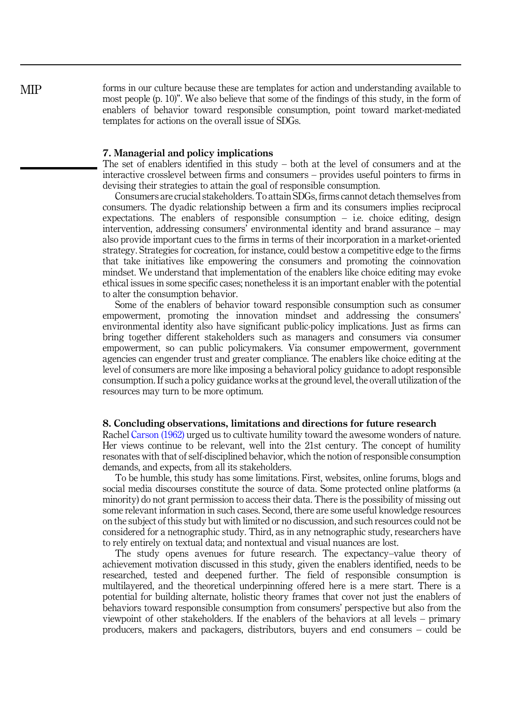forms in our culture because these are templates for action and understanding available to most people (p. 10)". We also believe that some of the findings of this study, in the form of enablers of behavior toward responsible consumption, point toward market-mediated templates for actions on the overall issue of SDGs.

# 7. Managerial and policy implications

The set of enablers identified in this study – both at the level of consumers and at the interactive crosslevel between firms and consumers – provides useful pointers to firms in devising their strategies to attain the goal of responsible consumption.

Consumers are crucial stakeholders. To attain SDGs, firms cannot detach themselves from consumers. The dyadic relationship between a firm and its consumers implies reciprocal expectations. The enablers of responsible consumption  $-$  i.e. choice editing, design intervention, addressing consumers' environmental identity and brand assurance – may also provide important cues to the firms in terms of their incorporation in a market-oriented strategy. Strategies for cocreation, for instance, could bestow a competitive edge to the firms that take initiatives like empowering the consumers and promoting the coinnovation mindset. We understand that implementation of the enablers like choice editing may evoke ethical issues in some specific cases; nonetheless it is an important enabler with the potential to alter the consumption behavior.

Some of the enablers of behavior toward responsible consumption such as consumer empowerment, promoting the innovation mindset and addressing the consumers' environmental identity also have significant public-policy implications. Just as firms can bring together different stakeholders such as managers and consumers via consumer empowerment, so can public policymakers. Via consumer empowerment, government agencies can engender trust and greater compliance. The enablers like choice editing at the level of consumers are more like imposing a behavioral policy guidance to adopt responsible consumption. If such a policy guidance works at the ground level, the overall utilization of the resources may turn to be more optimum.

# 8. Concluding observations, limitations and directions for future research

Rachel Carson (1962) urged us to cultivate humility toward the awesome wonders of nature. Her views continue to be relevant, well into the 21st century. The concept of humility resonates with that of self-disciplined behavior, which the notion of responsible consumption demands, and expects, from all its stakeholders.

To be humble, this study has some limitations. First, websites, online forums, blogs and social media discourses constitute the source of data. Some protected online platforms (a minority) do not grant permission to access their data. There is the possibility of missing out some relevant information in such cases. Second, there are some useful knowledge resources on the subject of this study but with limited or no discussion, and such resources could not be considered for a netnographic study. Third, as in any netnographic study, researchers have to rely entirely on textual data; and nontextual and visual nuances are lost.

The study opens avenues for future research. The expectancy–value theory of achievement motivation discussed in this study, given the enablers identified, needs to be researched, tested and deepened further. The field of responsible consumption is multilayered, and the theoretical underpinning offered here is a mere start. There is a potential for building alternate, holistic theory frames that cover not just the enablers of behaviors toward responsible consumption from consumers' perspective but also from the viewpoint of other stakeholders. If the enablers of the behaviors at all levels – primary producers, makers and packagers, distributors, buyers and end consumers – could be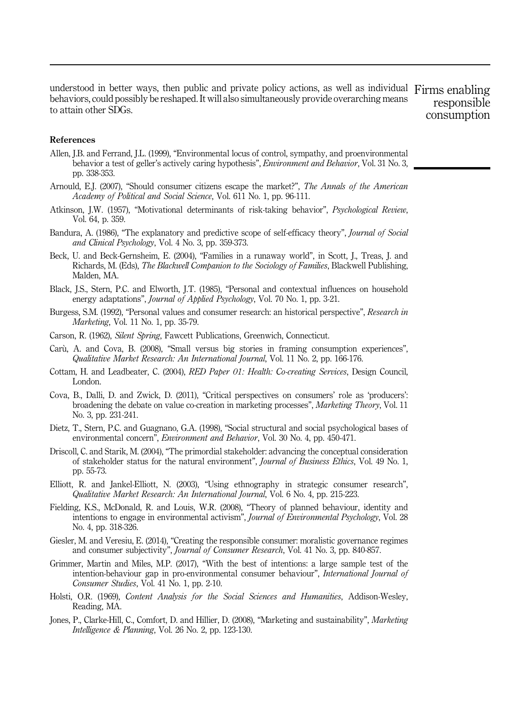understood in better ways, then public and private policy actions, as well as individual Firms enabling behaviors, could possibly be reshaped. It will also simultaneously provide overarching means to attain other SDGs. responsible consumption

# References

- Allen, J.B. and Ferrand, J.L. (1999), "Environmental locus of control, sympathy, and proenvironmental behavior a test of geller's actively caring hypothesis", *Environment and Behavior*, Vol. 31 No. 3, pp. 338-353.
- Arnould, E.J. (2007), "Should consumer citizens escape the market?", *The Annals of the American Academy of Political and Social Science*, Vol. 611 No. 1, pp. 96-111.
- Atkinson, J.W. (1957), "Motivational determinants of risk-taking behavior", *Psychological Review*, Vol. 64, p. 359.
- Bandura, A. (1986), "The explanatory and predictive scope of self-efficacy theory", *Journal of Social and Clinical Psychology*, Vol. 4 No. 3, pp. 359-373.
- Beck, U. and Beck-Gernsheim, E. (2004), "Families in a runaway world", in Scott, J., Treas, J. and Richards, M. (Eds), *The Blackwell Companion to the Sociology of Families*, Blackwell Publishing, Malden, MA.
- Black, J.S., Stern, P.C. and Elworth, J.T. (1985), "Personal and contextual influences on household energy adaptations", *Journal of Applied Psychology*, Vol. 70 No. 1, pp. 3-21.
- Burgess, S.M. (1992), "Personal values and consumer research: an historical perspective", *Research in Marketing*, Vol. 11 No. 1, pp. 35-79.
- Carson, R. (1962), *Silent Spring*, Fawcett Publications, Greenwich, Connecticut.
- Carù, A. and Cova, B. (2008), "Small versus big stories in framing consumption experiences", *Qualitative Market Research: An International Journal*, Vol. 11 No. 2, pp. 166-176.
- Cottam, H. and Leadbeater, C. (2004), *RED Paper 01: Health: Co-creating Services*, Design Council, London.
- Cova, B., Dalli, D. and Zwick, D. (2011), "Critical perspectives on consumers' role as 'producers': broadening the debate on value co-creation in marketing processes", *Marketing Theory*, Vol. 11 No. 3, pp. 231-241.
- Dietz, T., Stern, P.C. and Guagnano, G.A. (1998), "Social structural and social psychological bases of environmental concern", *Environment and Behavior*, Vol. 30 No. 4, pp. 450-471.
- Driscoll, C. and Starik, M. (2004), "The primordial stakeholder: advancing the conceptual consideration of stakeholder status for the natural environment", *Journal of Business Ethics*, Vol. 49 No. 1, pp. 55-73.
- Elliott, R. and Jankel-Elliott, N. (2003), "Using ethnography in strategic consumer research", *Qualitative Market Research: An International Journal*, Vol. 6 No. 4, pp. 215-223.
- Fielding, K.S., McDonald, R. and Louis, W.R. (2008), "Theory of planned behaviour, identity and intentions to engage in environmental activism", *Journal of Environmental Psychology*, Vol. 28 No. 4, pp. 318-326.
- Giesler, M. and Veresiu, E. (2014), "Creating the responsible consumer: moralistic governance regimes and consumer subjectivity", *Journal of Consumer Research*, Vol. 41 No. 3, pp. 840-857.
- Grimmer, Martin and Miles, M.P. (2017), "With the best of intentions: a large sample test of the intention-behaviour gap in pro-environmental consumer behaviour", *International Journal of Consumer Studies*, Vol. 41 No. 1, pp. 2-10.
- Holsti, O.R. (1969), *Content Analysis for the Social Sciences and Humanities*, Addison-Wesley, Reading, MA.
- Jones, P., Clarke-Hill, C., Comfort, D. and Hillier, D. (2008), "Marketing and sustainability", *Marketing Intelligence & Planning*, Vol. 26 No. 2, pp. 123-130.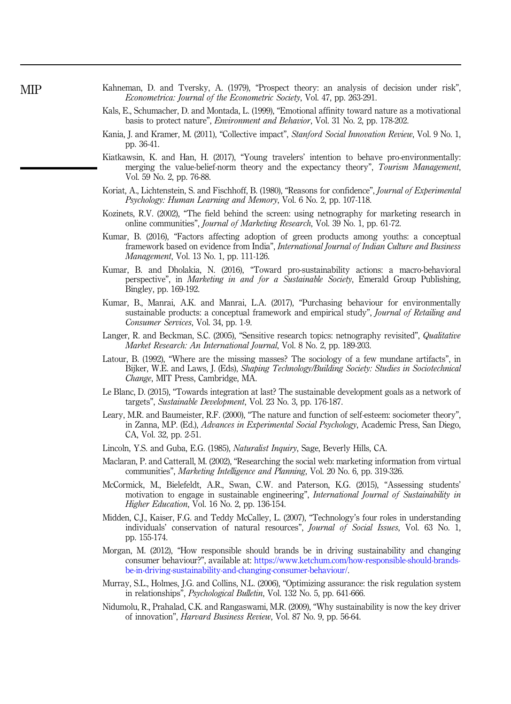- Kahneman, D. and Tversky, A. (1979), "Prospect theory: an analysis of decision under risk", *Econometrica: Journal of the Econometric Society*, Vol. 47, pp. 263-291.
- Kals, E., Schumacher, D. and Montada, L. (1999), "Emotional affinity toward nature as a motivational basis to protect nature", *Environment and Behavior*, Vol. 31 No. 2, pp. 178-202.
- Kania, J. and Kramer, M. (2011), "Collective impact", *Stanford Social Innovation Review*, Vol. 9 No. 1, pp. 36-41.
- Kiatkawsin, K. and Han, H. (2017), "Young travelers' intention to behave pro-environmentally: merging the value-belief-norm theory and the expectancy theory", *Tourism Management*, Vol. 59 No. 2, pp. 76-88.
- Koriat, A., Lichtenstein, S. and Fischhoff, B. (1980), "Reasons for confidence", *Journal of Experimental Psychology: Human Learning and Memory*, Vol. 6 No. 2, pp. 107-118.
- Kozinets, R.V. (2002), "The field behind the screen: using netnography for marketing research in online communities", *Journal of Marketing Research*, Vol. 39 No. 1, pp. 61-72.
- Kumar, B. (2016), "Factors affecting adoption of green products among youths: a conceptual framework based on evidence from India", *International Journal of Indian Culture and Business Management*, Vol. 13 No. 1, pp. 111-126.
- Kumar, B. and Dholakia, N. (2016), "Toward pro-sustainability actions: a macro-behavioral perspective", in *Marketing in and for a Sustainable Society*, Emerald Group Publishing, Bingley, pp. 169-192.
- Kumar, B., Manrai, A.K. and Manrai, L.A. (2017), "Purchasing behaviour for environmentally sustainable products: a conceptual framework and empirical study", *Journal of Retailing and Consumer Services*, Vol. 34, pp. 1-9.
- Langer, R. and Beckman, S.C. (2005), "Sensitive research topics: netnography revisited", *Qualitative Market Research: An International Journal*, Vol. 8 No. 2, pp. 189-203.
- Latour, B. (1992), "Where are the missing masses? The sociology of a few mundane artifacts", in Bijker, W.E. and Laws, J. (Eds), *Shaping Technology/Building Society: Studies in Sociotechnical Change*, MIT Press, Cambridge, MA.
- Le Blanc, D. (2015), "Towards integration at last? The sustainable development goals as a network of targets", *Sustainable Development*, Vol. 23 No. 3, pp. 176-187.
- Leary, M.R. and Baumeister, R.F. (2000), "The nature and function of self-esteem: sociometer theory", in Zanna, M.P. (Ed.), *Advances in Experimental Social Psychology*, Academic Press, San Diego, CA, Vol. 32, pp. 2-51.
- Lincoln, Y.S. and Guba, E.G. (1985), *Naturalist Inquiry*, Sage, Beverly Hills, CA.
- Maclaran, P. and Catterall, M. (2002), "Researching the social web: marketing information from virtual communities", *Marketing Intelligence and Planning*, Vol. 20 No. 6, pp. 319-326.
- McCormick, M., Bielefeldt, A.R., Swan, C.W. and Paterson, K.G. (2015), "Assessing students' motivation to engage in sustainable engineering", *International Journal of Sustainability in Higher Education*, Vol. 16 No. 2, pp. 136-154.
- Midden, C.J., Kaiser, F.G. and Teddy McCalley, L. (2007), "Technology's four roles in understanding individuals' conservation of natural resources", *Journal of Social Issues*, Vol. 63 No. 1, pp. 155-174.
- Morgan, M. (2012), "How responsible should brands be in driving sustainability and changing consumer behaviour?", available at: https://www.ketchum.com/how-responsible-should-brandsbe-in-driving-sustainability-and-changing-consumer-behaviour/.
- Murray, S.L., Holmes, J.G. and Collins, N.L. (2006), "Optimizing assurance: the risk regulation system in relationships", *Psychological Bulletin*, Vol. 132 No. 5, pp. 641-666.
- Nidumolu, R., Prahalad, C.K. and Rangaswami, M.R. (2009), "Why sustainability is now the key driver of innovation", *Harvard Business Review*, Vol. 87 No. 9, pp. 56-64.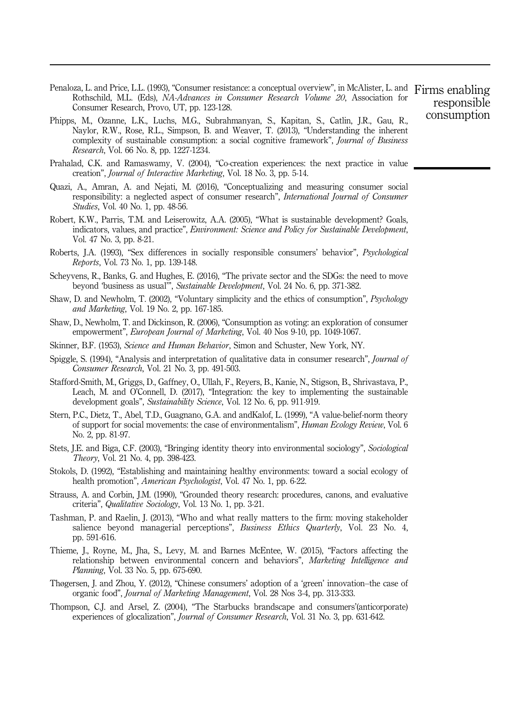- Penaloza, L. and Price, L.L. (1993), "Consumer resistance: a conceptual overview", in McAlister, L. and Firms enabling Rothschild, M.L. (Eds), *NA-Advances in Consumer Research Volume 20*, Association for Consumer Research, Provo, UT, pp. 123-128.
- Phipps, M., Ozanne, L.K., Luchs, M.G., Subrahmanyan, S., Kapitan, S., Catlin, J.R., Gau, R., Naylor, R.W., Rose, R.L., Simpson, B. and Weaver, T. (2013), "Understanding the inherent complexity of sustainable consumption: a social cognitive framework", *Journal of Business Research*, Vol. 66 No. 8, pp. 1227-1234.
- Prahalad, C.K. and Ramaswamy, V. (2004), "Co-creation experiences: the next practice in value creation", *Journal of Interactive Marketing*, Vol. 18 No. 3, pp. 5-14.
- Quazi, A., Amran, A. and Nejati, M. (2016), "Conceptualizing and measuring consumer social responsibility: a neglected aspect of consumer research", *International Journal of Consumer Studies*, Vol. 40 No. 1, pp. 48-56.
- Robert, K.W., Parris, T.M. and Leiserowitz, A.A. (2005), "What is sustainable development? Goals, indicators, values, and practice", *Environment: Science and Policy for Sustainable Development*, Vol. 47 No. 3, pp. 8-21.
- Roberts, J.A. (1993), "Sex differences in socially responsible consumers' behavior", *Psychological Reports*, Vol. 73 No. 1, pp. 139-148.
- Scheyvens, R., Banks, G. and Hughes, E. (2016), "The private sector and the SDGs: the need to move beyond 'business as usual'", *Sustainable Development*, Vol. 24 No. 6, pp. 371-382.
- Shaw, D. and Newholm, T. (2002), "Voluntary simplicity and the ethics of consumption", *Psychology and Marketing*, Vol. 19 No. 2, pp. 167-185.
- Shaw, D., Newholm, T. and Dickinson, R. (2006), "Consumption as voting: an exploration of consumer empowerment", *European Journal of Marketing*, Vol. 40 Nos 9-10, pp. 1049-1067.
- Skinner, B.F. (1953), *Science and Human Behavior*, Simon and Schuster, New York, NY.
- Spiggle, S. (1994), "Analysis and interpretation of qualitative data in consumer research", *Journal of Consumer Research*, Vol. 21 No. 3, pp. 491-503.
- Stafford-Smith, M., Griggs, D., Gaffney, O., Ullah, F., Reyers, B., Kanie, N., Stigson, B., Shrivastava, P., Leach, M. and O'Connell, D. (2017), "Integration: the key to implementing the sustainable development goals", *Sustainability Science*, Vol. 12 No. 6, pp. 911-919.
- Stern, P.C., Dietz, T., Abel, T.D., Guagnano, G.A. and andKalof, L. (1999), "A value-belief-norm theory of support for social movements: the case of environmentalism", *Human Ecology Review*, Vol. 6 No. 2, pp. 81-97.
- Stets, J.E. and Biga, C.F. (2003), "Bringing identity theory into environmental sociology", *Sociological Theory*, Vol. 21 No. 4, pp. 398-423.
- Stokols, D. (1992), "Establishing and maintaining healthy environments: toward a social ecology of health promotion", *American Psychologist*, Vol. 47 No. 1, pp. 6-22.
- Strauss, A. and Corbin, J.M. (1990), "Grounded theory research: procedures, canons, and evaluative criteria", *Qualitative Sociology*, Vol. 13 No. 1, pp. 3-21.
- Tashman, P. and Raelin, J. (2013), "Who and what really matters to the firm: moving stakeholder salience beyond managerial perceptions", *Business Ethics Quarterly*, Vol. 23 No. 4, pp. 591-616.
- Thieme, J., Royne, M., Jha, S., Levy, M. and Barnes McEntee, W. (2015), "Factors affecting the relationship between environmental concern and behaviors", *Marketing Intelligence and Planning*, Vol. 33 No. 5, pp. 675-690.
- Thøgersen, J. and Zhou, Y. (2012), "Chinese consumers' adoption of a 'green' innovation–the case of organic food", *Journal of Marketing Management*, Vol. 28 Nos 3-4, pp. 313-333.
- Thompson, C.J. and Arsel, Z. (2004), "The Starbucks brandscape and consumers'(anticorporate) experiences of glocalization", *Journal of Consumer Research*, Vol. 31 No. 3, pp. 631-642.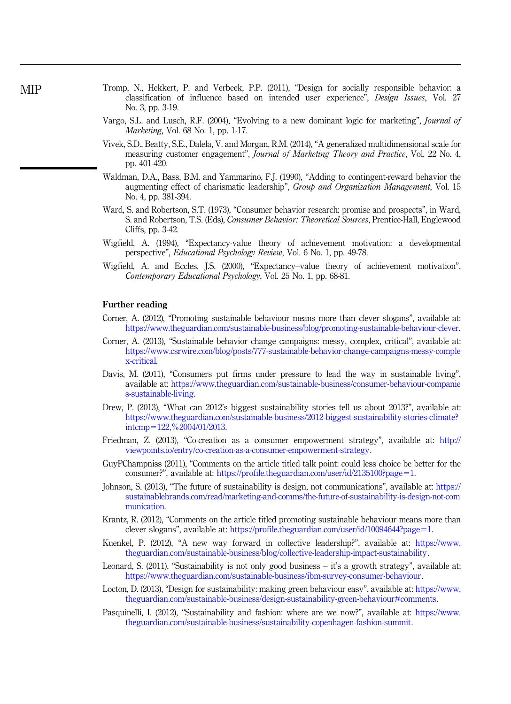- Tromp, N., Hekkert, P. and Verbeek, P.P. (2011), "Design for socially responsible behavior: a classification of influence based on intended user experience", *Design Issues*, Vol. 27 No. 3, pp. 3-19.
- Vargo, S.L. and Lusch, R.F. (2004), "Evolving to a new dominant logic for marketing", *Journal of Marketing*, Vol. 68 No. 1, pp. 1-17.
- Vivek, S.D., Beatty, S.E., Dalela, V. and Morgan, R.M. (2014), "A generalized multidimensional scale for measuring customer engagement", *Journal of Marketing Theory and Practice*, Vol. 22 No. 4, pp. 401-420.
- Waldman, D.A., Bass, B.M. and Yammarino, F.J. (1990), "Adding to contingent-reward behavior the augmenting effect of charismatic leadership", *Group and Organization Management*, Vol. 15 No. 4, pp. 381-394.
- Ward, S. and Robertson, S.T. (1973), "Consumer behavior research: promise and prospects", in Ward, S. and Robertson, T.S. (Eds), *Consumer Behavior: Theoretical Sources*, Prentice-Hall, Englewood Cliffs, pp. 3-42.
- Wigfield, A. (1994), "Expectancy-value theory of achievement motivation: a developmental perspective", *Educational Psychology Review*, Vol. 6 No. 1, pp. 49-78.
- Wigfield, A. and Eccles, J.S. (2000), "Expectancy–value theory of achievement motivation", *Contemporary Educational Psychology*, Vol. 25 No. 1, pp. 68-81.

#### Further reading

- Corner, A. (2012), "Promoting sustainable behaviour means more than clever slogans", available at: https://www.theguardian.com/sustainable-business/blog/promoting-sustainable-behaviour-clever.
- Corner, A. (2013), "Sustainable behavior change campaigns: messy, complex, critical", available at: https://www.csrwire.com/blog/posts/777-sustainable-behavior-change-campaigns-messy-comple x-critical.
- Davis, M. (2011), "Consumers put firms under pressure to lead the way in sustainable living", available at: https://www.theguardian.com/sustainable-business/consumer-behaviour-companie s-sustainable-living.
- Drew, P. (2013), "What can 2012's biggest sustainability stories tell us about 2013?", available at: https://www.theguardian.com/sustainable-business/2012-biggest-sustainability-stories-climate?  $intcmp=122,\frac{9}{2004}/01/2013.$
- Friedman, Z. (2013), "Co-creation as a consumer empowerment strategy", available at: http:// viewpoints.io/entry/co-creation-as-a-consumer-empowerment-strategy.
- GuyPChampniss (2011), "Comments on the article titled talk point: could less choice be better for the consumer?", available at: https://profile.theguardian.com/user/id/2135100?page=1.
- Johnson, S. (2013), "The future of sustainability is design, not communications", available at: https:// sustainablebrands.com/read/marketing-and-comms/the-future-of-sustainability-is-design-not-com munication.
- Krantz, R. (2012), "Comments on the article titled promoting sustainable behaviour means more than clever slogans", available at: https://profile.theguardian.com/user/id/10094644?page=1.
- Kuenkel, P. (2012), "A new way forward in collective leadership?", available at: https://www. theguardian.com/sustainable-business/blog/collective-leadership-impact-sustainability.
- Leonard, S. (2011), "Sustainability is not only good business it's a growth strategy", available at: https://www.theguardian.com/sustainable-business/ibm-survey-consumer-behaviour.
- Locton, D. (2013), "Design for sustainability: making green behaviour easy", available at: https://www. theguardian.com/sustainable-business/design-sustainability-green-behaviour#comments.
- Pasquinelli, I. (2012), "Sustainability and fashion: where are we now?", available at: https://www. theguardian.com/sustainable-business/sustainability-copenhagen-fashion-summit.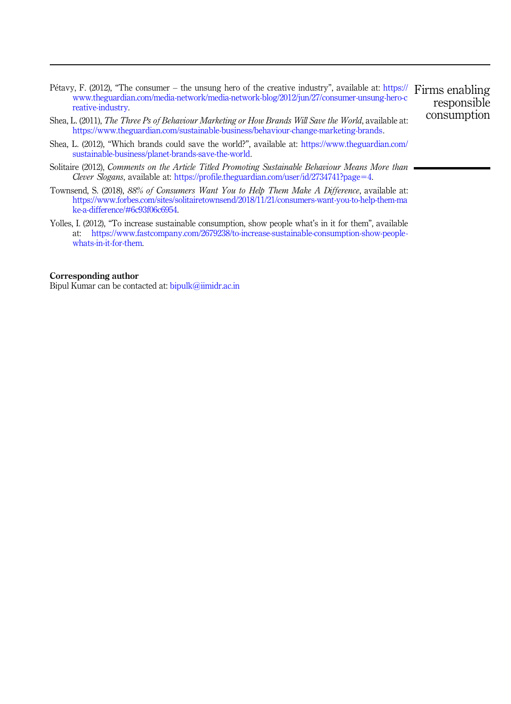- Pétavy, F. (2012), "The consumer the unsung hero of the creative industry", available at: https:// Firms enabling www.theguardian.com/media-network/media-network-blog/2012/jun/27/consumer-unsung-hero-c reative-industry. responsible consumption
- Shea, L. (2011), *The Three Ps of Behaviour Marketing or How Brands Will Save the World*, available at: https://www.theguardian.com/sustainable-business/behaviour-change-marketing-brands.
- Shea, L. (2012), "Which brands could save the world?", available at: https://www.theguardian.com/ sustainable-business/planet-brands-save-the-world.
- Solitaire (2012), *Comments on the Article Titled Promoting Sustainable Behaviour Means More than Clever Slogans*, available at: https://profile.theguardian.com/user/id/2734741?page=4.
- Townsend, S. (2018), *88% of Consumers Want You to Help Them Make A Difference*, available at: https://www.forbes.com/sites/solitairetownsend/2018/11/21/consumers-want-you-to-help-them-ma ke-a-difference/#6c93f06c6954.
- Yolles, I. (2012), "To increase sustainable consumption, show people what's in it for them", available at: https://www.fastcompany.com/2679238/to-increase-sustainable-consumption-show-peoplewhats-in-it-for-them.

#### Corresponding author

Bipul Kumar can be contacted at: bipulk@iimidr.ac.in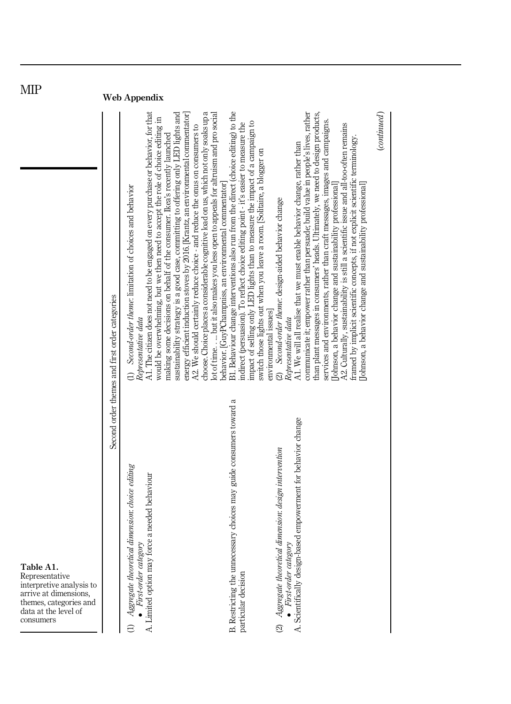| <b>IATIL</b>                                                                                                                                    |                                                | <b>Web Appendix</b>                                                                                                                                                                                                                                                                                                                                                                                                                                                                                                                                                                                                                                                                                                                                                                                                                         |                                                                                                                                                                                                                                                                                                                                                                 |                                                                                                                                                                                                                                                                                                                                                                                                                                                                                                                                                                                                                                                                                                                           |                                |
|-------------------------------------------------------------------------------------------------------------------------------------------------|------------------------------------------------|---------------------------------------------------------------------------------------------------------------------------------------------------------------------------------------------------------------------------------------------------------------------------------------------------------------------------------------------------------------------------------------------------------------------------------------------------------------------------------------------------------------------------------------------------------------------------------------------------------------------------------------------------------------------------------------------------------------------------------------------------------------------------------------------------------------------------------------------|-----------------------------------------------------------------------------------------------------------------------------------------------------------------------------------------------------------------------------------------------------------------------------------------------------------------------------------------------------------------|---------------------------------------------------------------------------------------------------------------------------------------------------------------------------------------------------------------------------------------------------------------------------------------------------------------------------------------------------------------------------------------------------------------------------------------------------------------------------------------------------------------------------------------------------------------------------------------------------------------------------------------------------------------------------------------------------------------------------|--------------------------------|
|                                                                                                                                                 | Second order themes and first order categories | choose. Choice places a considerable cognitive load on us, which not only soaks up a<br>A1. The citizen does not need to be engaged on every purchase or behavior, for that<br>sustainability strategy is a good case, committing to offering only LED lights and<br>energy efficient induction stoves by 2016. [Krantz, an environmental commentator]<br>lot of time but it also makes you less open to appeals for altruism and pro social<br>would be overwhelming, but we then need to accept the role of choice editing in<br>A2. We should certainly reduce choice - and reduce the onus on consumers to<br>making some decisions on behalf of the consumer. Ikea's recently launched<br>behavior. [GuyPChampniss, an environmental commentator]<br>(1) Second-order theme: limitation of choices and behavior<br>Representative data | B1. Behaviour change interventions also run from the direct (choice editing) to the<br>impact of selling only LED lights than to measure the impact of a campaign to<br>indirect (persuasion). To reflect choice editing point - it's easier to measure the<br>switch those lights out when you leave a room. [Solitaire, a blogger on<br>environmental issues] | than plant messages in consumers' heads. Ultimately, we need to design products,<br>communicate it; empower rather than persuade; build value in people's lives, rather<br>services and environments, rather than craft messages, images and campaigns.<br>A2. Culturally, sustainability is still a scientific issue and all-too-often remains<br>framed by implicit scientific concepts, if not explicit scientific terminology.<br>A1. We will all realise that we must enable behavior change, rather than<br>Johnson, a behavior change and sustainability professional<br>Johnson, a behavior change and sustainability professional<br>(2) Second-order theme: design-aided behavior change<br>Representative data | $_{\footnotesize (continued)}$ |
| Table A1.<br>Representative<br>interpretive analysis to<br>arrive at dimensions,<br>themes, categories and<br>data at the level of<br>consumers |                                                | Aggregate theoretical dimension: choice editing<br>force a needed behaviour<br>First-order category<br>A. Limited option may<br>а                                                                                                                                                                                                                                                                                                                                                                                                                                                                                                                                                                                                                                                                                                           | B. Restricting the unnecessary choices may guide consumers toward a<br>particular decision                                                                                                                                                                                                                                                                      | based empowerment for behavior change<br>Aggregate theoretical dimension: design intervention<br>First-order category<br>A. Scientifically design<br>$\mathfrak{D}% _{T}=\mathfrak{D}_{T}\!\left( a,b\right) ,\ \mathfrak{D}_{T}=C_{T}\!\left( a,b\right) ,$                                                                                                                                                                                                                                                                                                                                                                                                                                                              |                                |

MIP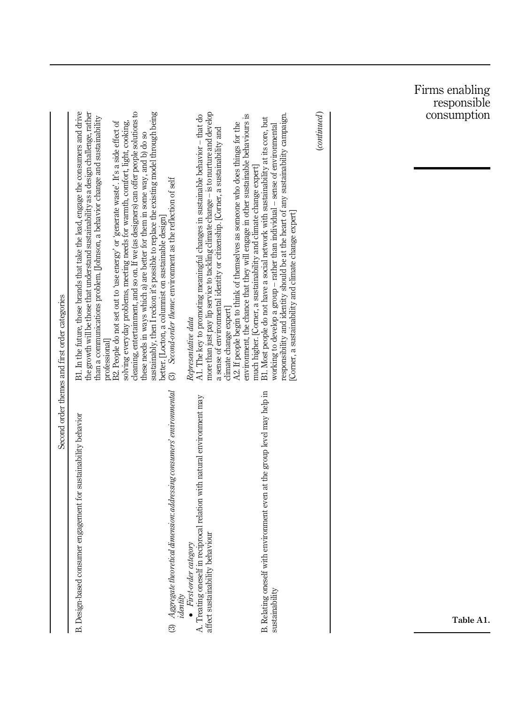|                                                |                                                                                                                                                                                                                                                                                                                                                                                                                                                                                                                                                                                                                                                                                                                                                                                                                                               |                                                                                                                                                                                                                                                                                                                                                                                                                                                                                 |                                                                                                                                                                                                                                                                                                                                                                                                     | Firms enabling<br>responsible<br>consumption |
|------------------------------------------------|-----------------------------------------------------------------------------------------------------------------------------------------------------------------------------------------------------------------------------------------------------------------------------------------------------------------------------------------------------------------------------------------------------------------------------------------------------------------------------------------------------------------------------------------------------------------------------------------------------------------------------------------------------------------------------------------------------------------------------------------------------------------------------------------------------------------------------------------------|---------------------------------------------------------------------------------------------------------------------------------------------------------------------------------------------------------------------------------------------------------------------------------------------------------------------------------------------------------------------------------------------------------------------------------------------------------------------------------|-----------------------------------------------------------------------------------------------------------------------------------------------------------------------------------------------------------------------------------------------------------------------------------------------------------------------------------------------------------------------------------------------------|----------------------------------------------|
| Second order themes and first order categories | B1. In the future, those brands that take the lead, engage the consumers and drive<br>cleaning, entertainment, and so on. If we (as designers) can offer people solutions to<br>the growth will be those that understand sustainability as a design challenge, rather<br>sustainably, then I reckon it's possible to replace the existing model through being<br>than a communications problem. [Johnson, a behavior change and sustainability<br>B2. People do not set out to 'use energy' or 'generate waste'. It's a side effect of<br>solving everyday problems, meeting needs for warmth, comfort, light, cooking,<br>these needs in ways which a) are better for them in some way, and b) do so<br>(3) Second-order theme: environment as the reflection of self<br>better. [Locton, a columnist on sustainable design]<br>professional | more than just pay lip service to tackling climate change - is to nurture and develop<br>A1. The key to promoting meaningful changes in sustainable behavior - that do<br>environment, the chance that they will engage in other sustainable behaviours is<br>A2. If people begin to think of themselves as someone who does things for the<br>a sense of environmental identity or citizenship. [Corner, a sustainability and<br>climate change expert]<br>Representative data | (continued)<br>responsibility and identity should be at the heart of any sustainability campaign.<br>B1. Most people do not have a social network with sustainability at its core, but<br>working to develop a group - rather than individual - sense of environmental<br>much higher. [Corner, a sustainability and climate change expert]<br>[Corner, a sustainability and climate change expert] |                                              |
|                                                | Aggregate theoretical dimension: addressing consumers' environmental<br>B. Design-based consumer engagement for sustainability behavior<br>$\odot$                                                                                                                                                                                                                                                                                                                                                                                                                                                                                                                                                                                                                                                                                            | A. Treating oneself in reciprocal relation with natural environment may<br>affect sustainability behaviour<br>$\bullet$ First-order category<br>identity                                                                                                                                                                                                                                                                                                                        | B. Relating oneself with environment even at the group level may help in<br>sustainability                                                                                                                                                                                                                                                                                                          | Table A1.                                    |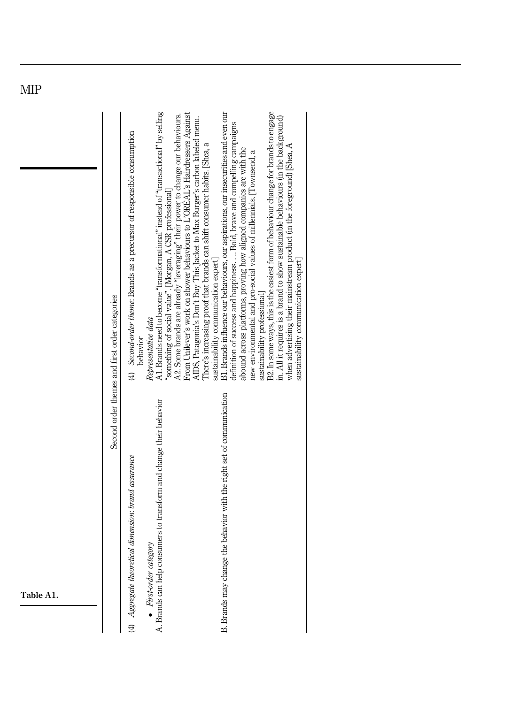|           | Second order themes and first order categories | A1. Brands need to become "transformational" instead of "transactional" by selling<br>B2. In some ways, this is the easiest form of behaviour change for brands to engage<br>B1. Brands influence our behaviours, our aspirations, our insecurities and even our<br>From Unilever's work on shower behaviours to L'OREAL's Hairdressers Against<br>A2. Some brands are already "leveraging" their power to change our behaviours.<br>in. All it requires is a brand to show sustainable behaviours (in the background)<br>AIDS, Patagonia's Don't Buy This Jacket to Max Burger's carbon labeled menu.<br>definition of success and happiness.  Bold, brave and compelling campaigns<br>(4) Second-order theme: Brands as a precursor of responsible consumption<br>There's increasing proof that brands can shift consumer habits. [Shea, a<br>when advertising their mainstream product (in the foreground) [Shea, A<br>abound across platforms, proving how aligned companies are with the<br>new environmental and pro-social values of millennials. [Townsend, a<br>"something of social value". [Morgan, A CSR professional]<br>sustainability communication expert]<br>sustainability communication expert<br>sustainability professional<br>Representative data<br>behavior |
|-----------|------------------------------------------------|-------------------------------------------------------------------------------------------------------------------------------------------------------------------------------------------------------------------------------------------------------------------------------------------------------------------------------------------------------------------------------------------------------------------------------------------------------------------------------------------------------------------------------------------------------------------------------------------------------------------------------------------------------------------------------------------------------------------------------------------------------------------------------------------------------------------------------------------------------------------------------------------------------------------------------------------------------------------------------------------------------------------------------------------------------------------------------------------------------------------------------------------------------------------------------------------------------------------------------------------------------------------------------------|
| Table A1. |                                                | B. Brands may change the behavior with the right set of communication<br>A. Brands can help consumers to transform and change their behavior<br>(4) Aggregate theoretical dimension: brand assurance<br>$\bullet$ First-order category                                                                                                                                                                                                                                                                                                                                                                                                                                                                                                                                                                                                                                                                                                                                                                                                                                                                                                                                                                                                                                              |

MIP